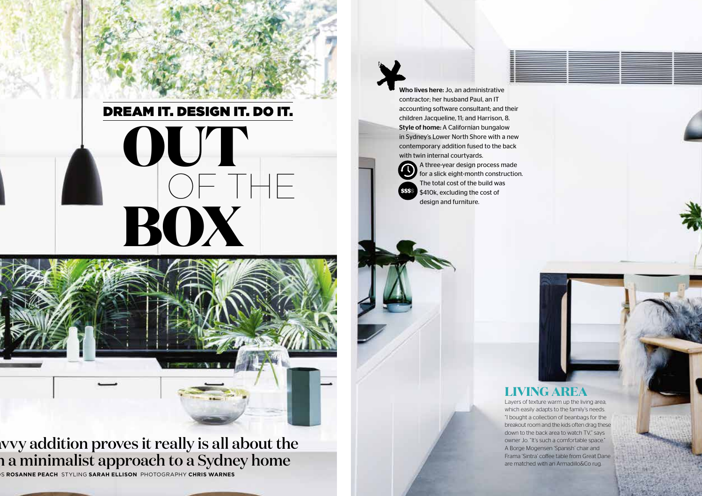# DREAM IT. DESIGN IT. DO IT.**OUT BOX** OF THE



## wvy addition proves it really is all about the n a minimalist approach to a Sydney home

WORDS **ROSANNE PEACH** STYLING **SARAH ELLISON** PHOTOGRAPHY **CHRIS WARNES**

Who lives here: Jo, an administrative contractor; her husband Paul, an IT accounting software consultant; and their children Jacqueline, 11; and Harrison, 8. Style of home: A Californian bungalow in Sydney's Lower North Shore with a new contemporary addition fused to the back with twin internal courtyards.



A three-year design process made for a slick eight-month construction. The total cost of the build was \$410k, excluding the cost of design and furniture.

### **LIVING AREA**

Layers of texture warm up the living area, which easily adapts to the family's needs. "I bought a collection of beanbags for the breakout room and the kids often drag these down to the back area to watch TV," says owner Jo. "It's such a comfortable space." A Borge Mogensen 'Spanish' chair and Frama 'Sintra' coffee table from Great Dane are matched with an Armadillo&Co rug.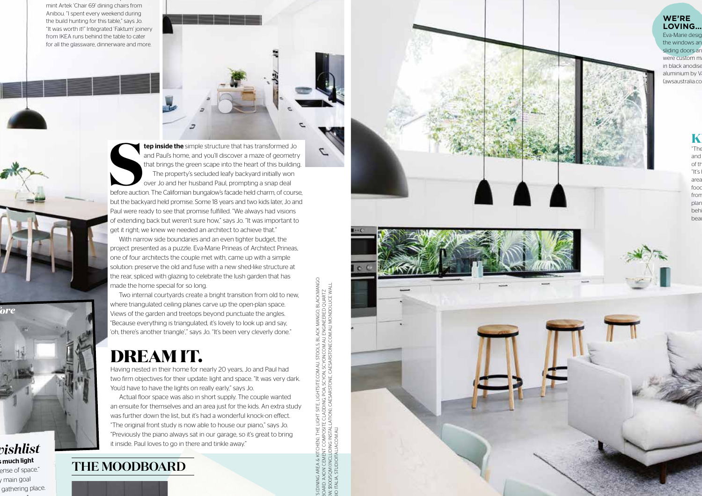mint Artek 'Chair 69' dining chairs from Anibou. "I spent every weekend during the build hunting for this table," says Jo. "It was worth it!" Integrated 'Faktum' joinery from IKEA runs behind the table to cater for all the glassware, dinnerware and more.

The 'HB' table from Koskela is paired with the from Koskela is paired with the following the second with the s

**tep inside the** simple structure that has transformed Jo<br>and Paul's home, and you'll discover a maze of geometry<br>that brings the green scape into the heart of this building.<br>The property's secluded leafy backyard initiall before auction. The Californian bungalow's facade held charm, of course, but the backyard held promise. Some 18 years and two kids later, Jo and Paul were ready to see that promise fulfilled. "We always had visions of extending back but weren't sure how," says Jo. "It was important to get it right; we knew we needed an architect to achieve that."

With narrow side boundaries and an even tighter budget, the project presented as a puzzle. Eva-Marie Prineas of Architect Prineas, one of four architects the couple met with, came up with a simple solution: preserve the old and fuse with a new shed-like structure at the rear, spliced with glazing to celebrate the lush garden that has made the home special for so long.

Two internal courtyards create a bright transition from old to new, where triangulated ceiling planes carve up the open-plan space. Views of the garden and treetops beyond punctuate the angles. "Because everything is triangulated, it's lovely to look up and say, 'oh, there's another triangle'," says Jo. "It's been very cleverly done."

# **DREAM IT.**

Having nested in their home for nearly 20 years, Jo and Paul had two firm objectives for their update: light and space. "It was very dark. You'd have to have the lights on really early," says Jo.

Actual floor space was also in short supply. The couple wanted an ensuite for themselves and an area just for the kids. An extra study was further down the list, but it's had a wonderful knock-on efect. "The original front study is now able to house our piano," says Jo. "Previously the piano always sat in our garage, so it's great to bring it inside. Paul loves to go in there and tinkle away."

## **THE MOODBOARD**

*Jo & Paul's wishlist* he much light ense of space."<br><sub>/</sub> main goal gathering place.

*before*

It feels very rich with our presence."

PENDANT LIGHTS (DINING AREA & KITCHEN), THE LIGHT SITE, LIGHTSITE.COM.AU. STOOLS, BLACK MANGO, BLACKMANGO. SURFACE IN SNOW, \$500/SQM (INCLUDING INSTALLATION), CAESARSTONE, CAESARSTONE.COM.AU. MONDOLUCE WALL THE LIGHT SITE. LIGHTSITE COM AU STOOL S.BLACK MANGO, BLACKMAN<br>OSITE CLADDING, POA, SCYON, SCYON.COM AU. ENGINEERED QUARTZ<br>STALLATION), CAESARSTONE, CAESARSTONE.COM AU. MONDOLUCE WALL<br>AU. COM.AU. MOODBOARD: 'AXON' CEMENT COMPOSITE CLADDING, POA, SCYON, SCYON.COM.AU. ENGINEERED QUARTZ LIGHT, \$95, STUDIO ITALIA, STUDIOITALIA.COM.AU.

**WE'RE LOVING…**Eva-Marie desig the windows an sliding doors an were custom  $m$ in black anodise aluminium by V (awsaustralia.co

> $\mathbf K$ "The island bench kept getting longer and of th "It's l area fooc from plan behi

beau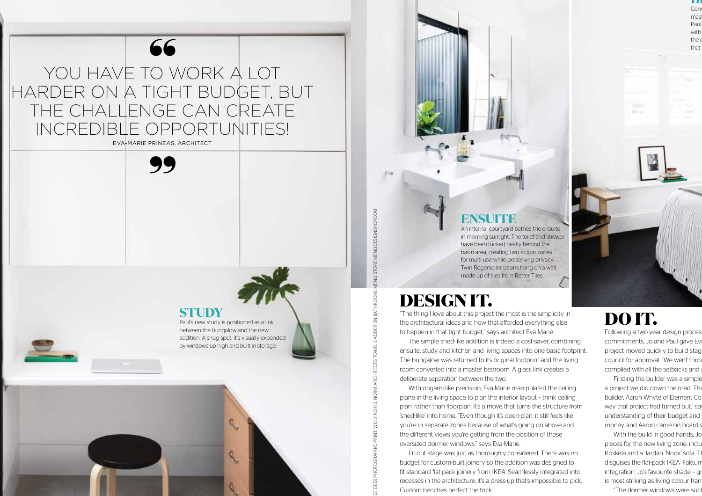

YOU HAVE TO WORK A LOT HARDER ON A TIGHT BUDGET, BUT THE CHALLENGE CAN CREATE INCREDIBLE OPPORTUNITIES!

EVA-MARIE PRINEAS, ARCHITECT



#### **STUDY**

Paul's new study is positioned as a link between the bungalow and the new addition. A snug spot, it's visually expanded by windows up high and built-in storage.



**BEDROOM**

Paul with the  $\epsilon$ 

Con mas

that

## **DESIGN IT.**

"The thing I love about this project the most is the simplicity in the architectural ideas and how that afforded everything else to happen in that tight budget," says architect Eva-Marie.

**ENSUITE**

An internal courtyard bathes the ensuite in morning sunlight. The toilet and shower have been tucked neatly behind the basin area, creating two action zones for multi-use while preserving privacy. Twin Rogerseller basins hang on a wall made up of tiles from Better Tiles.

The simple shed-like addition is indeed a cost-saver, combining ensuite, study and kitchen and living spaces into one basic footprint. The bungalow was returned to its original footprint and the living room converted into a master bedroom. A glass link creates a deliberate separation between the two.

With origami-like precision, Eva-Marie manipulated the ceiling plane in the living space to plan the interior layout – think ceiling plan, rather than floorplan. It's a move that turns the structure from 'shed-like' into home. "Even though it's open-plan, it still feels like you're in separate zones because of what's going on above and the diferent views you're getting from the position of those oversized dormer windows," says Eva-Marie. ARTHENTIFIC ANTIFICATE AND CONTRIGUON DRIVEN OF THE UNITED AND CONTROL TOWER CONTROLL INTO A CONTROLL INTO A CONTROLL INTO A CONTROLL INTO A CONTROLL INTO A CONTROLL INTO A CONTROLL INTO A CONTROLL INTO A CONTROLL INTO A C

Fit-out stage was just as thoroughly considered. There was no budget for custom-built joinery so the addition was designed to fit standard flat-pack joinery from IKEA. Seamlessly integrated into recesses in the architecture, it's a dress-up that's impossible to pick. Custom benches perfect the trick.

# **DO IT.**

Following a two-year design proces commitments, Jo and Paul gave Eva project moved quickly to build stag council for approval. "We went through complied with all the setbacks and

Finding the builder was a simple a project we did down the road. The builder, Aaron Whyte of Element Co way that project had turned out," say understanding of their budget and money, and Aaron came on board w

With the build in good hands, Jo pieces for the new living zone, inclu Koskela and a Jardan 'Nook' sofa. The Monochromatic base palettes palettes palettes palettes and a disguises the flat-pack IKEA 'Faktun' integration. Jo's favourite shade - gr is most striking as living colour fran

"The dormer windows were suc